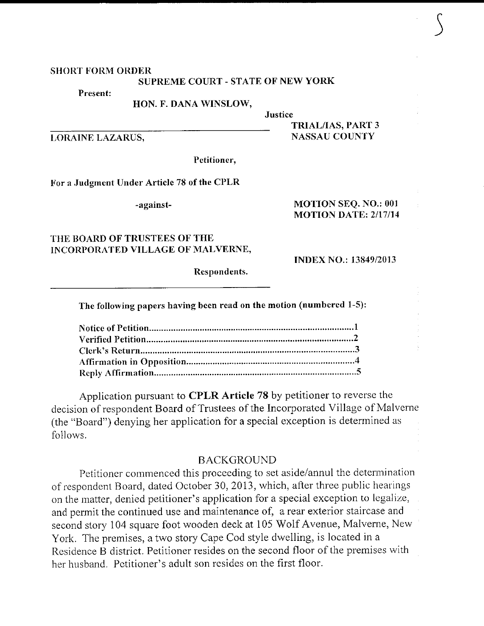#### **SHORT FORM ORDER**

#### **SUPREME COURT - STATE OF NEW YORK**

Justice

Present:

HON. F. DANA WINSLOW,

**LORAINE LAZARUS,** 

Petitioner,

For a Judgment Under Article 78 of the CPLR

-against-

### MOTION SEQ. NO.: 001 **MOTION DATE: 2/17/14**

**INDEX NO.: 13849/2013** 

**TRIAL/IAS, PART 3 NASSAU COUNTY** 

## THE BOARD OF TRUSTEES OF THE INCORPORATED VILLAGE OF MALVERNE,

Respondents.

The following papers having been read on the motion (numbered 1-5):

Application pursuant to CPLR Article 78 by petitioner to reverse the decision of respondent Board of Trustees of the Incorporated Village of Malverne (the "Board") denying her application for a special exception is determined as follows.

### **BACKGROUND**

Petitioner commenced this proceeding to set aside/annul the determination of respondent Board, dated October 30, 2013, which, after three public hearings on the matter, denied petitioner's application for a special exception to legalize, and permit the continued use and maintenance of, a rear exterior staircase and second story 104 square foot wooden deck at 105 Wolf Avenue, Malverne, New York. The premises, a two story Cape Cod style dwelling, is located in a Residence B district. Petitioner resides on the second floor of the premises with her husband. Petitioner's adult son resides on the first floor.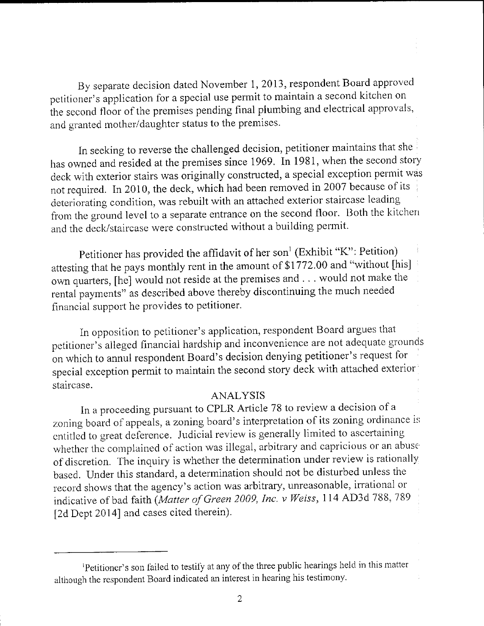By separate decision dated November 1, 2013, respondent Board approved peritioner's application for a special use permit to maintain a second kitchen on the second floor of the premises pending final plumbing and electrical approvals, and granted mother/daughter status to the premises.

In seeking to reverse the challenged decision, petitioner maintains that she has owned and resided at the premises since 1969. In 1981, when the second story deck with exterior stairs was originally constructed, a special exception permit was not required. In 2010, the deck, which had been removed in 2007 because of its deteriorating condition, was rebuilt with an attached exterior staircase leading from the ground level to a separate entrance on the second floor. Both the kitchen and the deck/staircase were constructed without a building permit.

Petitioner has provided the affidavit of her son<sup>1</sup> (Exhibit "K": Petition) attesting that he pays monthly rent in the amount of \$1772.00 and "without [his] own quarters, [he] would not reside at the premises and . . . would not make the rental payments" as described above thereby discontinuing the much needed financial support he provides to petitioner.

In opposition to petitioner's application, respondent Board argues that petitioner's alleged financial hardship and inconvenience are not adequate grounds on which to annul respondent Board's decision denying petitioner's request for special exception permit to maintain the second story deck with attached exterior staircase.

# ANALYSIS

In a proceeding pursuant to CPLR Article 78 to review a decision of a zoning board of appeals, a zoning board's interpretation of its zoning ordinance is entitled to great deference. Judicial review is generally limited to ascertaining whether the complained of action was illegal, arbitrary and capricious or an abuse of discretion. The inquiry is whether the determination under review is rationally based. Under this standard, a determination should not be disturbed unless the record shows that the agency's action was arbitrary, unreasonable, irrational or indicative of bad faith (Matter of Green 2009, Inc. v Weiss, 114 AD3d 788, 789 [2d Dept 2014] and cases cited therein).

<sup>&</sup>lt;sup>1</sup>Petitioner's son failed to testify at any of the three public hearings held in this matter although the respondent Board indicated an interest in hearing his testimony.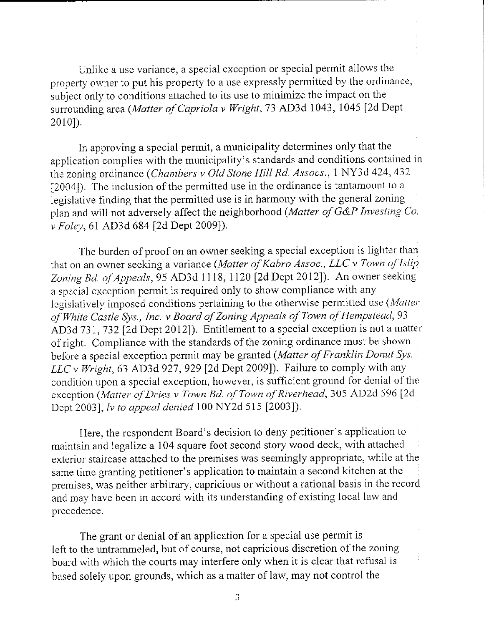Unlike a use variance, a special exception or special permit allows the property owner to put his property to a use expressly permitted by the ordinance, subject only to conditions attached to its use to minimize the impact on the surrounding area (Matter of Capriola v Wright, 73 AD3d 1043, 1045 [2d Dept  $2010$ ]).

In approving a special permit, a municipality determines only that the application oomplies with the municipality's standards and conditions contained in the zoning ordinance (Chambers v Old Stone Hill Rd. Assocs., 1 NY3d 424, 432 [2004]). The inclusion of the permitted use in the ordinance is tantamount to a legislative frnding that the permitted use is in harmony with the general zoning plan and will not adversely affect the neighborhood (Matter of G&P Investing Co. v Foley, 61 AD3d 684 [2d Dept 2009]).

The burden of proof on an owner seeking a special exception is lighter than that on an owner seeking a variance (Matter of Kabro Assoc., LLC v Town of Islip Zoning Bd. of Appeals, 95 AD3d 1118, 1120 [2d Dept 2012]). An owner seeking. a special exception perrnit is required only to show compliance with any legislatively imposed conditions pertaining to the otherwise permitted use (Matter of White Castle Sys., Inc. v Board of Zoning Appeals of Town of Hempstead, 93 AD3d 731, 732 [2d Dept 2012]). Entitlement to a special exception is not a matter of right. Cornpliance with the standards of the zoning ordinance must be shown before a special exception permit may be granted (Matter of Franklin Donut Sys. LLC v Wright, 63 AD3d 927, 929 [2d Dept 2009]). Failure to comply with any condition upon a special exception, however, is sufficient ground for denial of the exception (Matter of Dries v Town Bd. of Town of Riverhead, 305 AD2d 596 [2d Dept 20031, lv to appeal denied 100 NY2d 515 [2003]).

Here, the respondent Board's decision to deny petitioner's application to maintain and legalize a 104 square foot second story wood deck, with attached exterior staircase attached to the premises was seemingly appropriate, while at the same time granting petitioner's application to maintain a second kitchen at the premises, was neither arbitrary, capricious or without a rational basis in the record and may have been in accord with its understanding of existing local law and precedence.

The grant or denial of an application for a special use permit is left to the untrammeled, but of course, not capricious discretion of the zoning board with which the courts may interfere only when it is clear that refusal is based solely upon grounds, which as a matter of law, may not control the

3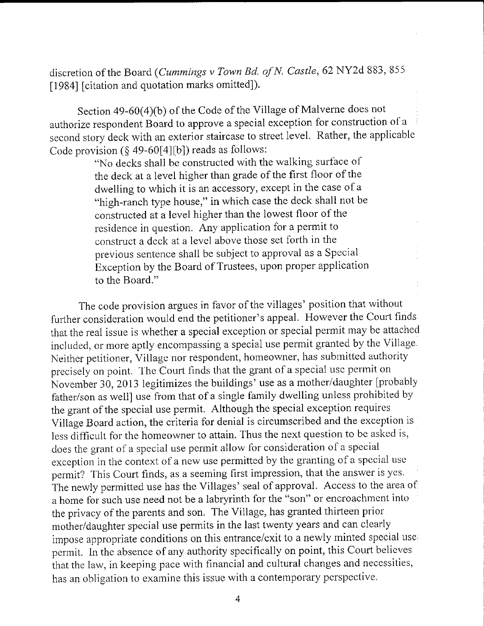discretion of the Board (Cummings v Town Bd. of N. Castle, 62 NY2d 883, 855 [1984] [citation and quotation marks omitted]).

Section 49-60(4)(b) of the Code of the Village of Malverne does not authorize respondent Board to approve a special exception for construction of a second story deck with an exterior staircase to street level. Rather, the applicable Code provision ( $\S$  49-60[4][b]) reads as follows:

"No decks shall be constructed with the walking surface of the deck at a level higher than grade of the first floor of the dwelling to which it is an accessory, except in the case of <sup>a</sup> "high-ranch type house," in which case the deck shall not be constructed at a level higher than the lowest floor of the residence in question. Any application for a permit to construct a deck at a level above those set forth in the previous sentence shall bc subject to approval as a Special Exception by the Board of Trustees, upon proper application to the Board."

The code provision argues in favor of the villages' position that without further consideration would end the petitioner's appeal. However the Court finds that the real issue is whether a special exception or special permit may be attached included, or more aptly encompassing a special use permit granted by the Village. Neither petitioner, Village nor respondent, homeowner, has submitted authority precisely on point. The Court finds that the grant of a special usc permit on November 30, 2013 legitimizes the buildings' use as a mother/daughter fprobably father/son as weli] use from that of a single family dwelling unless prohibited by the grant of the special use permit. Although the special exception requires Village Board action, the criteria for denial is circumscribed and the exccption is less difficult for the homeowner to attain. Thus the next question to be asked is, does the grant of a special use permit allow for consideration of a special exception in the context of a new use permitted by the granting of a special use permit? This Court finds, as a seeming first impression, that the answer is yes. The newly permitted use has the Villages' seal of approval. Access to the area of <sup>a</sup>home for such use need not be a labryrinth for the "son" or encroachment into the privacy of the parents and son. The Village, has granted thirteen prior mother/daughter special use permits in the last twenty years and can clearly impose appropriate conditions on this entrance/exit to a newly minted special use permit. ln thc absence of any authority specifically on point, this Court believes that the law, in keeping pace with financial and cultural changes and necessities, has an obligation to examine this issue with a contemporary perspective.

 $\overline{4}$